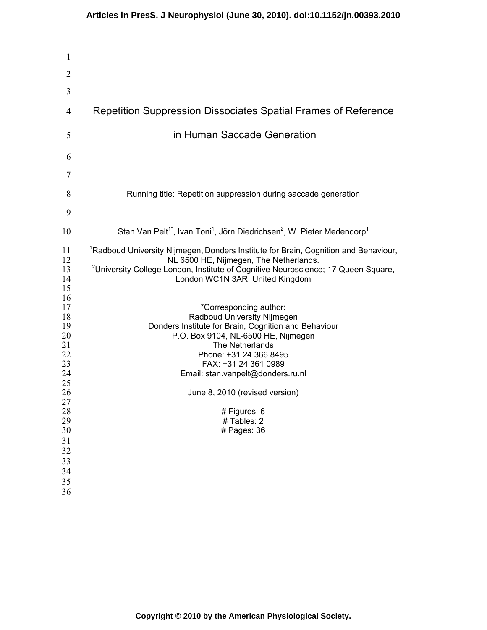| Repetition Suppression Dissociates Spatial Frames of Reference                                                                                                                                                                                                                                                                                                                                                                                                                                                                                                                                                                 |
|--------------------------------------------------------------------------------------------------------------------------------------------------------------------------------------------------------------------------------------------------------------------------------------------------------------------------------------------------------------------------------------------------------------------------------------------------------------------------------------------------------------------------------------------------------------------------------------------------------------------------------|
| in Human Saccade Generation                                                                                                                                                                                                                                                                                                                                                                                                                                                                                                                                                                                                    |
|                                                                                                                                                                                                                                                                                                                                                                                                                                                                                                                                                                                                                                |
|                                                                                                                                                                                                                                                                                                                                                                                                                                                                                                                                                                                                                                |
| Running title: Repetition suppression during saccade generation                                                                                                                                                                                                                                                                                                                                                                                                                                                                                                                                                                |
|                                                                                                                                                                                                                                                                                                                                                                                                                                                                                                                                                                                                                                |
| Stan Van Pelt <sup>1*</sup> , Ivan Toni <sup>1</sup> , Jörn Diedrichsen <sup>2</sup> , W. Pieter Medendorp <sup>1</sup>                                                                                                                                                                                                                                                                                                                                                                                                                                                                                                        |
| <sup>1</sup> Radboud University Nijmegen, Donders Institute for Brain, Cognition and Behaviour,<br>NL 6500 HE, Nijmegen, The Netherlands.<br><sup>2</sup> University College London, Institute of Cognitive Neuroscience; 17 Queen Square,<br>London WC1N 3AR, United Kingdom<br>*Corresponding author:<br>Radboud University Nijmegen<br>Donders Institute for Brain, Cognition and Behaviour<br>P.O. Box 9104, NL-6500 HE, Nijmegen<br>The Netherlands<br>Phone: +31 24 366 8495<br>FAX: +31 24 361 0989<br>Email: stan.vanpelt@donders.ru.nl<br>June 8, 2010 (revised version)<br># Figures: 6<br>#Tables: 2<br># Pages: 36 |
|                                                                                                                                                                                                                                                                                                                                                                                                                                                                                                                                                                                                                                |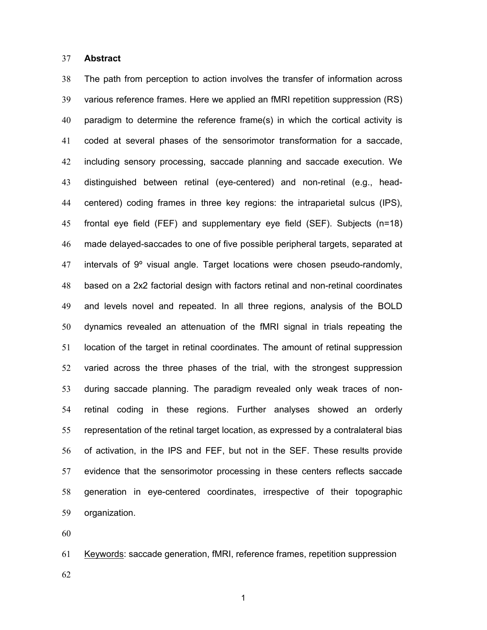#### **Abstract**

The path from perception to action involves the transfer of information across various reference frames. Here we applied an fMRI repetition suppression (RS) paradigm to determine the reference frame(s) in which the cortical activity is coded at several phases of the sensorimotor transformation for a saccade, including sensory processing, saccade planning and saccade execution. We distinguished between retinal (eye-centered) and non-retinal (e.g., head-centered) coding frames in three key regions: the intraparietal sulcus (IPS), frontal eye field (FEF) and supplementary eye field (SEF). Subjects (n=18) made delayed-saccades to one of five possible peripheral targets, separated at 47 intervals of  $9^{\circ}$  visual angle. Target locations were chosen pseudo-randomly, based on a 2x2 factorial design with factors retinal and non-retinal coordinates and levels novel and repeated. In all three regions, analysis of the BOLD dynamics revealed an attenuation of the fMRI signal in trials repeating the location of the target in retinal coordinates. The amount of retinal suppression varied across the three phases of the trial, with the strongest suppression during saccade planning. The paradigm revealed only weak traces of non-retinal coding in these regions. Further analyses showed an orderly representation of the retinal target location, as expressed by a contralateral bias of activation, in the IPS and FEF, but not in the SEF. These results provide evidence that the sensorimotor processing in these centers reflects saccade generation in eye-centered coordinates, irrespective of their topographic organization.

Keywords: saccade generation, fMRI, reference frames, repetition suppression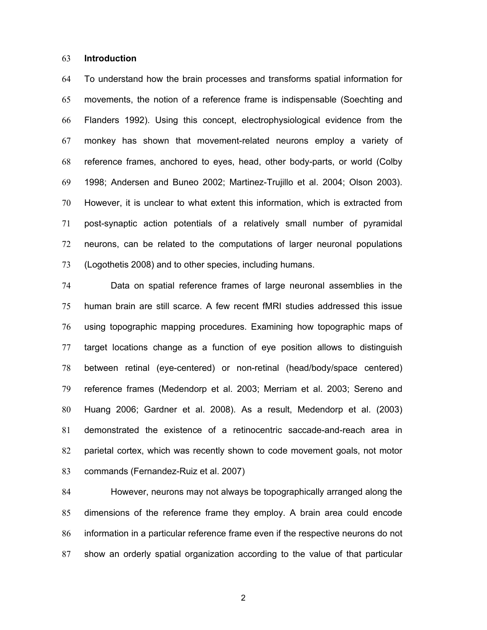#### **Introduction**

To understand how the brain processes and transforms spatial information for movements, the notion of a reference frame is indispensable (Soechting and Flanders 1992). Using this concept, electrophysiological evidence from the monkey has shown that movement-related neurons employ a variety of reference frames, anchored to eyes, head, other body-parts, or world (Colby 1998; Andersen and Buneo 2002; Martinez-Trujillo et al. 2004; Olson 2003). However, it is unclear to what extent this information, which is extracted from post-synaptic action potentials of a relatively small number of pyramidal neurons, can be related to the computations of larger neuronal populations (Logothetis 2008) and to other species, including humans.

Data on spatial reference frames of large neuronal assemblies in the human brain are still scarce. A few recent fMRI studies addressed this issue using topographic mapping procedures. Examining how topographic maps of target locations change as a function of eye position allows to distinguish between retinal (eye-centered) or non-retinal (head/body/space centered) reference frames (Medendorp et al. 2003; Merriam et al. 2003; Sereno and Huang 2006; Gardner et al. 2008). As a result, Medendorp et al. (2003) demonstrated the existence of a retinocentric saccade-and-reach area in parietal cortex, which was recently shown to code movement goals, not motor commands (Fernandez-Ruiz et al. 2007)

However, neurons may not always be topographically arranged along the dimensions of the reference frame they employ. A brain area could encode information in a particular reference frame even if the respective neurons do not show an orderly spatial organization according to the value of that particular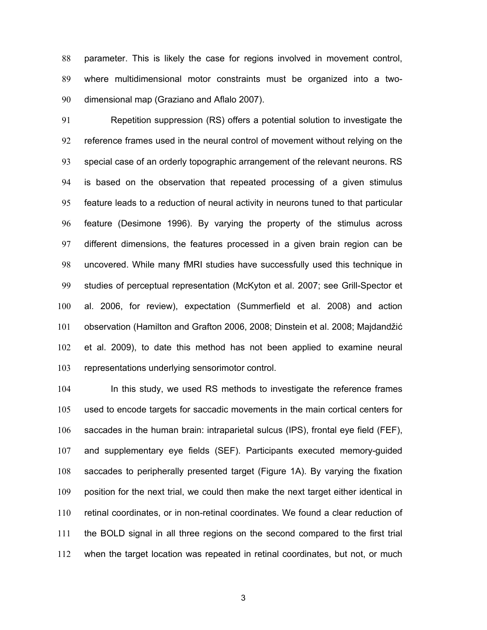parameter. This is likely the case for regions involved in movement control, where multidimensional motor constraints must be organized into a two-dimensional map (Graziano and Aflalo 2007).

Repetition suppression (RS) offers a potential solution to investigate the reference frames used in the neural control of movement without relying on the special case of an orderly topographic arrangement of the relevant neurons. RS is based on the observation that repeated processing of a given stimulus feature leads to a reduction of neural activity in neurons tuned to that particular feature (Desimone 1996). By varying the property of the stimulus across different dimensions, the features processed in a given brain region can be uncovered. While many fMRI studies have successfully used this technique in studies of perceptual representation (McKyton et al. 2007; see Grill-Spector et al. 2006, for review), expectation (Summerfield et al. 2008) and action observation (Hamilton and Grafton 2006, 2008; Dinstein et al. 2008; Majdandžić et al. 2009), to date this method has not been applied to examine neural representations underlying sensorimotor control.

104 In this study, we used RS methods to investigate the reference frames used to encode targets for saccadic movements in the main cortical centers for saccades in the human brain: intraparietal sulcus (IPS), frontal eye field (FEF), and supplementary eye fields (SEF). Participants executed memory-guided saccades to peripherally presented target (Figure 1A). By varying the fixation position for the next trial, we could then make the next target either identical in retinal coordinates, or in non-retinal coordinates. We found a clear reduction of the BOLD signal in all three regions on the second compared to the first trial when the target location was repeated in retinal coordinates, but not, or much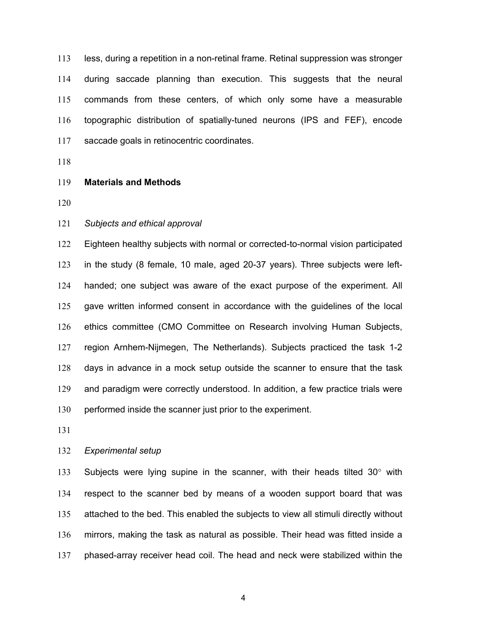less, during a repetition in a non-retinal frame. Retinal suppression was stronger during saccade planning than execution. This suggests that the neural commands from these centers, of which only some have a measurable topographic distribution of spatially-tuned neurons (IPS and FEF), encode saccade goals in retinocentric coordinates.

# **Materials and Methods**

#### *Subjects and ethical approval*

Eighteen healthy subjects with normal or corrected-to-normal vision participated in the study (8 female, 10 male, aged 20-37 years). Three subjects were left-handed; one subject was aware of the exact purpose of the experiment. All gave written informed consent in accordance with the guidelines of the local ethics committee (CMO Committee on Research involving Human Subjects, region Arnhem-Nijmegen, The Netherlands). Subjects practiced the task 1-2 days in advance in a mock setup outside the scanner to ensure that the task and paradigm were correctly understood. In addition, a few practice trials were performed inside the scanner just prior to the experiment.

# *Experimental setup*

133 Subjects were lying supine in the scanner, with their heads tilted  $30^{\circ}$  with respect to the scanner bed by means of a wooden support board that was attached to the bed. This enabled the subjects to view all stimuli directly without mirrors, making the task as natural as possible. Their head was fitted inside a phased-array receiver head coil. The head and neck were stabilized within the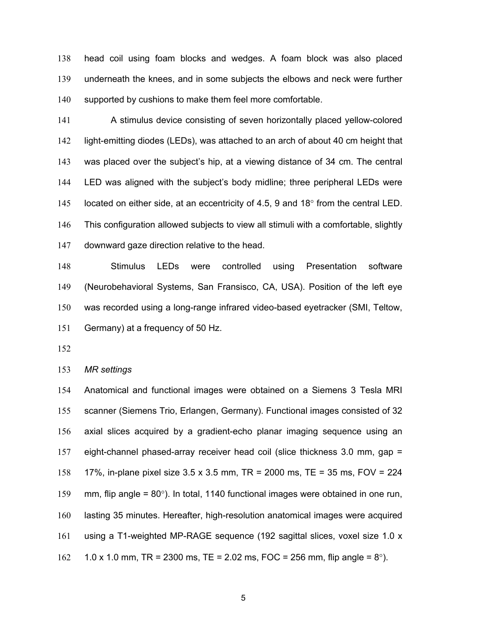head coil using foam blocks and wedges. A foam block was also placed underneath the knees, and in some subjects the elbows and neck were further 140 supported by cushions to make them feel more comfortable.

A stimulus device consisting of seven horizontally placed yellow-colored light-emitting diodes (LEDs), was attached to an arch of about 40 cm height that was placed over the subject's hip, at a viewing distance of 34 cm. The central LED was aligned with the subject's body midline; three peripheral LEDs were 145 located on either side, at an eccentricity of 4.5, 9 and 18 $^{\circ}$  from the central LED. This configuration allowed subjects to view all stimuli with a comfortable, slightly downward gaze direction relative to the head.

Stimulus LEDs were controlled using Presentation software (Neurobehavioral Systems, San Fransisco, CA, USA). Position of the left eye was recorded using a long-range infrared video-based eyetracker (SMI, Teltow, Germany) at a frequency of 50 Hz.

*MR settings* 

Anatomical and functional images were obtained on a Siemens 3 Tesla MRI scanner (Siemens Trio, Erlangen, Germany). Functional images consisted of 32 axial slices acquired by a gradient-echo planar imaging sequence using an eight-channel phased-array receiver head coil (slice thickness 3.0 mm, gap = 17%, in-plane pixel size 3.5 x 3.5 mm, TR = 2000 ms, TE = 35 ms, FOV = 224 mm, flip angle = 80°). In total, 1140 functional images were obtained in one run, lasting 35 minutes. Hereafter, high-resolution anatomical images were acquired using a T1-weighted MP-RAGE sequence (192 sagittal slices, voxel size 1.0 x 162 1.0 x 1.0 mm, TR = 2300 ms, TE = 2.02 ms, FOC = 256 mm, flip angle =  $8^{\circ}$ ).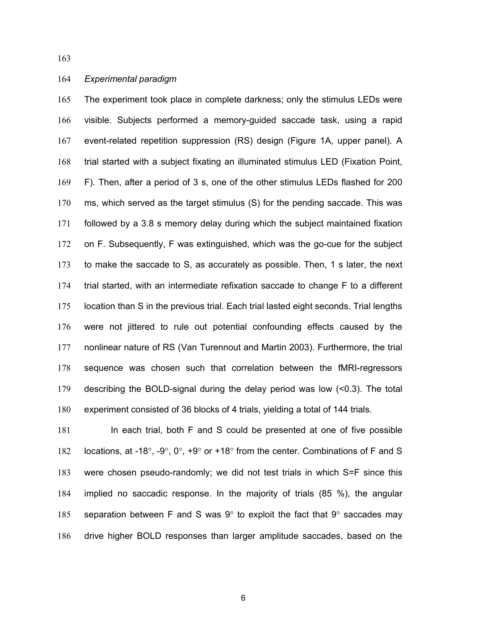### *Experimental paradigm*

The experiment took place in complete darkness; only the stimulus LEDs were visible. Subjects performed a memory-guided saccade task, using a rapid event-related repetition suppression (RS) design (Figure 1A, upper panel). A trial started with a subject fixating an illuminated stimulus LED (Fixation Point, F). Then, after a period of 3 s, one of the other stimulus LEDs flashed for 200 ms, which served as the target stimulus (S) for the pending saccade. This was followed by a 3.8 s memory delay during which the subject maintained fixation on F. Subsequently, F was extinguished, which was the go-cue for the subject to make the saccade to S, as accurately as possible. Then, 1 s later, the next trial started, with an intermediate refixation saccade to change F to a different location than S in the previous trial. Each trial lasted eight seconds. Trial lengths were not jittered to rule out potential confounding effects caused by the nonlinear nature of RS (Van Turennout and Martin 2003). Furthermore, the trial sequence was chosen such that correlation between the fMRI-regressors describing the BOLD-signal during the delay period was low (<0.3). The total experiment consisted of 36 blocks of 4 trials, yielding a total of 144 trials.

In each trial, both F and S could be presented at one of five possible 182 locations, at -18°, -9°, 0°, +9° or +18° from the center. Combinations of F and S were chosen pseudo-randomly; we did not test trials in which S=F since this implied no saccadic response. In the majority of trials (85 %), the angular 185 separation between F and S was  $9^{\circ}$  to exploit the fact that  $9^{\circ}$  saccades may drive higher BOLD responses than larger amplitude saccades, based on the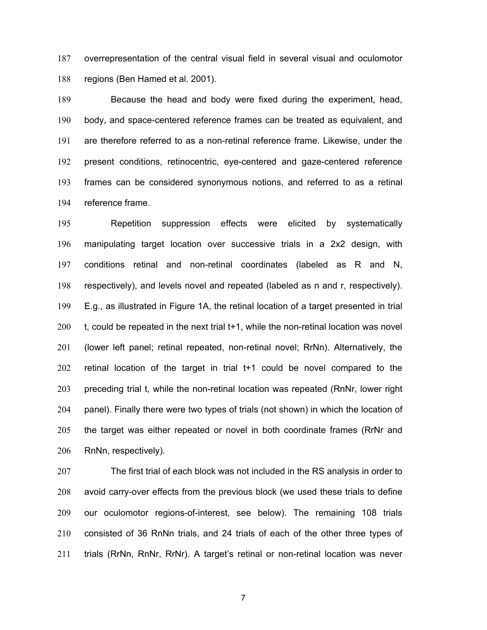overrepresentation of the central visual field in several visual and oculomotor regions (Ben Hamed et al. 2001).

Because the head and body were fixed during the experiment, head, body, and space-centered reference frames can be treated as equivalent, and are therefore referred to as a non-retinal reference frame. Likewise, under the present conditions, retinocentric, eye-centered and gaze-centered reference frames can be considered synonymous notions, and referred to as a retinal reference frame.

Repetition suppression effects were elicited by systematically manipulating target location over successive trials in a 2x2 design, with conditions retinal and non-retinal coordinates (labeled as R and N, respectively), and levels novel and repeated (labeled as n and r, respectively). E.g., as illustrated in Figure 1A, the retinal location of a target presented in trial t, could be repeated in the next trial t+1, while the non-retinal location was novel (lower left panel; retinal repeated, non-retinal novel; RrNn). Alternatively, the retinal location of the target in trial t+1 could be novel compared to the preceding trial t, while the non-retinal location was repeated (RnNr, lower right panel). Finally there were two types of trials (not shown) in which the location of the target was either repeated or novel in both coordinate frames (RrNr and RnNn, respectively).

The first trial of each block was not included in the RS analysis in order to avoid carry-over effects from the previous block (we used these trials to define our oculomotor regions-of-interest, see below). The remaining 108 trials consisted of 36 RnNn trials, and 24 trials of each of the other three types of trials (RrNn, RnNr, RrNr). A target's retinal or non-retinal location was never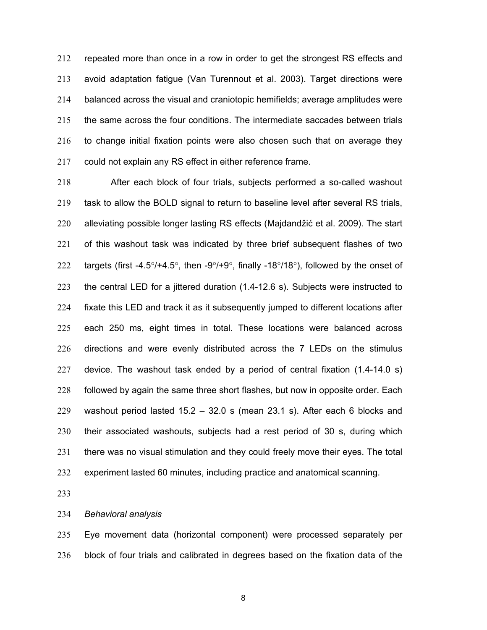repeated more than once in a row in order to get the strongest RS effects and avoid adaptation fatigue (Van Turennout et al. 2003). Target directions were balanced across the visual and craniotopic hemifields; average amplitudes were the same across the four conditions. The intermediate saccades between trials to change initial fixation points were also chosen such that on average they could not explain any RS effect in either reference frame.

After each block of four trials, subjects performed a so-called washout task to allow the BOLD signal to return to baseline level after several RS trials, alleviating possible longer lasting RS effects (Majdandžić et al. 2009). The start of this washout task was indicated by three brief subsequent flashes of two 222 targets (first -4.5 $\degree$ /+4.5 $\degree$ , then -9 $\degree$ /+9 $\degree$ , finally -18 $\degree$ /18 $\degree$ ), followed by the onset of the central LED for a jittered duration (1.4-12.6 s). Subjects were instructed to fixate this LED and track it as it subsequently jumped to different locations after each 250 ms, eight times in total. These locations were balanced across directions and were evenly distributed across the 7 LEDs on the stimulus device. The washout task ended by a period of central fixation (1.4-14.0 s) followed by again the same three short flashes, but now in opposite order. Each washout period lasted 15.2 – 32.0 s (mean 23.1 s). After each 6 blocks and their associated washouts, subjects had a rest period of 30 s, during which there was no visual stimulation and they could freely move their eyes. The total experiment lasted 60 minutes, including practice and anatomical scanning.

*Behavioral analysis* 

Eye movement data (horizontal component) were processed separately per block of four trials and calibrated in degrees based on the fixation data of the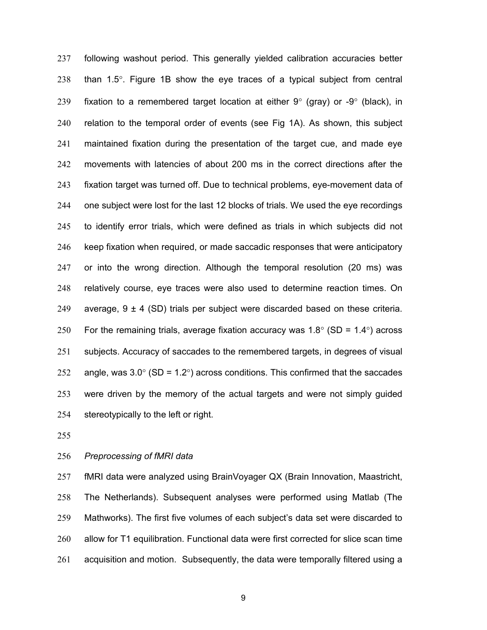following washout period. This generally yielded calibration accuracies better than 1.5°. Figure 1B show the eye traces of a typical subject from central 239 fixation to a remembered target location at either  $9^{\circ}$  (gray) or  $-9^{\circ}$  (black), in relation to the temporal order of events (see Fig 1A). As shown, this subject maintained fixation during the presentation of the target cue, and made eye movements with latencies of about 200 ms in the correct directions after the fixation target was turned off. Due to technical problems, eye-movement data of one subject were lost for the last 12 blocks of trials. We used the eye recordings to identify error trials, which were defined as trials in which subjects did not keep fixation when required, or made saccadic responses that were anticipatory or into the wrong direction. Although the temporal resolution (20 ms) was relatively course, eye traces were also used to determine reaction times. On 249 average,  $9 \pm 4$  (SD) trials per subject were discarded based on these criteria. 250 For the remaining trials, average fixation accuracy was  $1.8^{\circ}$  (SD =  $1.4^{\circ}$ ) across subjects. Accuracy of saccades to the remembered targets, in degrees of visual 252 angle, was  $3.0^{\circ}$  (SD = 1.2°) across conditions. This confirmed that the saccades were driven by the memory of the actual targets and were not simply guided stereotypically to the left or right.

### *Preprocessing of fMRI data*

fMRI data were analyzed using BrainVoyager QX (Brain Innovation, Maastricht, The Netherlands). Subsequent analyses were performed using Matlab (The Mathworks). The first five volumes of each subject's data set were discarded to allow for T1 equilibration. Functional data were first corrected for slice scan time acquisition and motion. Subsequently, the data were temporally filtered using a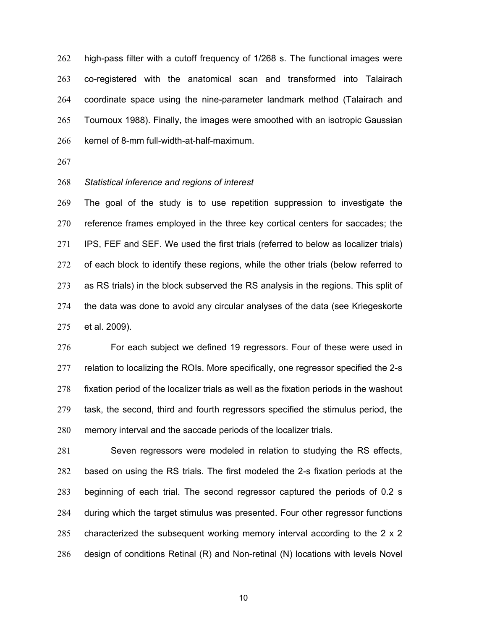high-pass filter with a cutoff frequency of 1/268 s. The functional images were co-registered with the anatomical scan and transformed into Talairach coordinate space using the nine-parameter landmark method (Talairach and Tournoux 1988). Finally, the images were smoothed with an isotropic Gaussian kernel of 8-mm full-width-at-half-maximum.

#### *Statistical inference and regions of interest*

The goal of the study is to use repetition suppression to investigate the reference frames employed in the three key cortical centers for saccades; the IPS, FEF and SEF. We used the first trials (referred to below as localizer trials) 272 of each block to identify these regions, while the other trials (below referred to as RS trials) in the block subserved the RS analysis in the regions. This split of the data was done to avoid any circular analyses of the data (see Kriegeskorte et al. 2009).

276 For each subject we defined 19 regressors. Four of these were used in relation to localizing the ROIs. More specifically, one regressor specified the 2-s fixation period of the localizer trials as well as the fixation periods in the washout task, the second, third and fourth regressors specified the stimulus period, the memory interval and the saccade periods of the localizer trials.

Seven regressors were modeled in relation to studying the RS effects, based on using the RS trials. The first modeled the 2-s fixation periods at the beginning of each trial. The second regressor captured the periods of 0.2 s during which the target stimulus was presented. Four other regressor functions characterized the subsequent working memory interval according to the 2 x 2 design of conditions Retinal (R) and Non-retinal (N) locations with levels Novel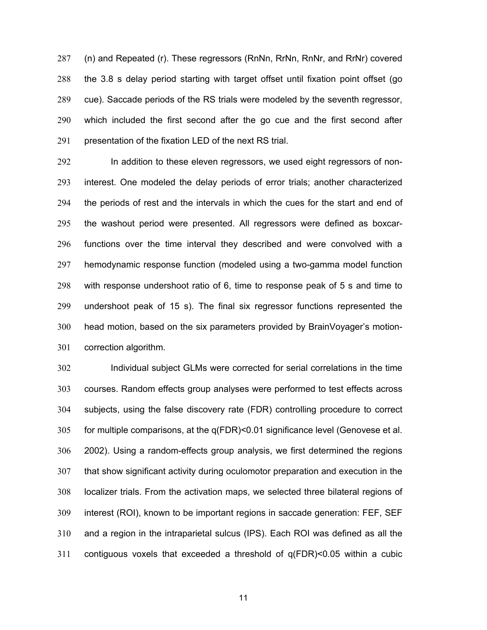(n) and Repeated (r). These regressors (RnNn, RrNn, RnNr, and RrNr) covered the 3.8 s delay period starting with target offset until fixation point offset (go cue). Saccade periods of the RS trials were modeled by the seventh regressor, which included the first second after the go cue and the first second after presentation of the fixation LED of the next RS trial.

In addition to these eleven regressors, we used eight regressors of non-interest. One modeled the delay periods of error trials; another characterized the periods of rest and the intervals in which the cues for the start and end of the washout period were presented. All regressors were defined as boxcar-functions over the time interval they described and were convolved with a hemodynamic response function (modeled using a two-gamma model function with response undershoot ratio of 6, time to response peak of 5 s and time to undershoot peak of 15 s). The final six regressor functions represented the head motion, based on the six parameters provided by BrainVoyager's motion-correction algorithm.

Individual subject GLMs were corrected for serial correlations in the time courses. Random effects group analyses were performed to test effects across subjects, using the false discovery rate (FDR) controlling procedure to correct for multiple comparisons, at the q(FDR)<0.01 significance level (Genovese et al. 2002). Using a random-effects group analysis, we first determined the regions that show significant activity during oculomotor preparation and execution in the localizer trials. From the activation maps, we selected three bilateral regions of interest (ROI), known to be important regions in saccade generation: FEF, SEF and a region in the intraparietal sulcus (IPS). Each ROI was defined as all the contiguous voxels that exceeded a threshold of q(FDR)<0.05 within a cubic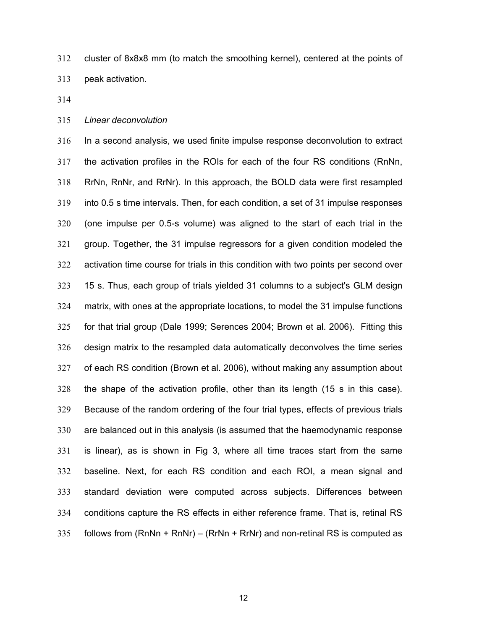cluster of 8x8x8 mm (to match the smoothing kernel), centered at the points of peak activation.

# *Linear deconvolution*

In a second analysis, we used finite impulse response deconvolution to extract the activation profiles in the ROIs for each of the four RS conditions (RnNn, RrNn, RnNr, and RrNr). In this approach, the BOLD data were first resampled into 0.5 s time intervals. Then, for each condition, a set of 31 impulse responses (one impulse per 0.5-s volume) was aligned to the start of each trial in the group. Together, the 31 impulse regressors for a given condition modeled the activation time course for trials in this condition with two points per second over 15 s. Thus, each group of trials yielded 31 columns to a subject's GLM design matrix, with ones at the appropriate locations, to model the 31 impulse functions for that trial group (Dale 1999; Serences 2004; Brown et al. 2006). Fitting this design matrix to the resampled data automatically deconvolves the time series of each RS condition (Brown et al. 2006), without making any assumption about the shape of the activation profile, other than its length (15 s in this case). Because of the random ordering of the four trial types, effects of previous trials are balanced out in this analysis (is assumed that the haemodynamic response is linear), as is shown in Fig 3, where all time traces start from the same baseline. Next, for each RS condition and each ROI, a mean signal and standard deviation were computed across subjects. Differences between conditions capture the RS effects in either reference frame. That is, retinal RS follows from (RnNn + RnNr) – (RrNn + RrNr) and non-retinal RS is computed as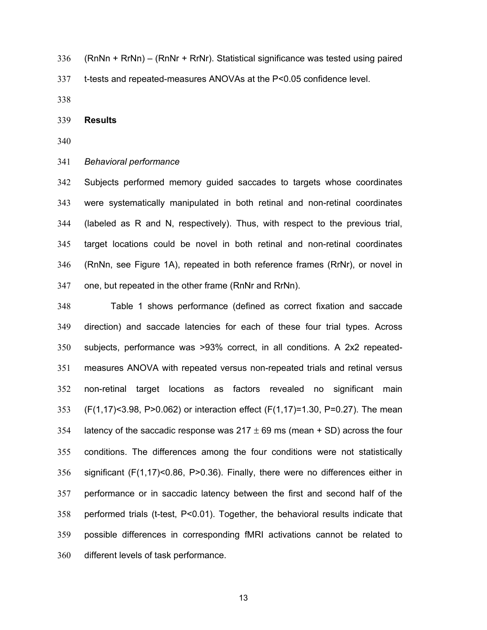(RnNn + RrNn) – (RnNr + RrNr). Statistical significance was tested using paired t-tests and repeated-measures ANOVAs at the P<0.05 confidence level.

#### **Results**

#### *Behavioral performance*

Subjects performed memory guided saccades to targets whose coordinates were systematically manipulated in both retinal and non-retinal coordinates (labeled as R and N, respectively). Thus, with respect to the previous trial, target locations could be novel in both retinal and non-retinal coordinates (RnNn, see Figure 1A), repeated in both reference frames (RrNr), or novel in one, but repeated in the other frame (RnNr and RrNn).

Table 1 shows performance (defined as correct fixation and saccade direction) and saccade latencies for each of these four trial types. Across subjects, performance was >93% correct, in all conditions. A 2x2 repeated-measures ANOVA with repeated versus non-repeated trials and retinal versus non-retinal target locations as factors revealed no significant main (F(1,17)<3.98, P>0.062) or interaction effect (F(1,17)=1.30, P=0.27). The mean 354 latency of the saccadic response was  $217 \pm 69$  ms (mean + SD) across the four conditions. The differences among the four conditions were not statistically significant (F(1,17)<0.86, P>0.36). Finally, there were no differences either in performance or in saccadic latency between the first and second half of the performed trials (t-test, P<0.01). Together, the behavioral results indicate that possible differences in corresponding fMRI activations cannot be related to different levels of task performance.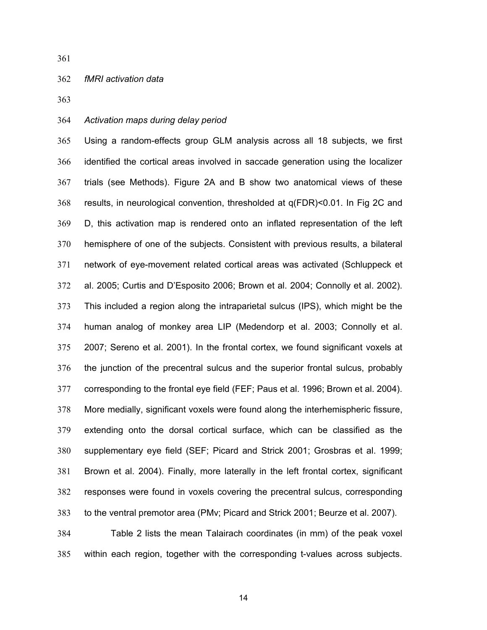### *fMRI activation data*

# *Activation maps during delay period*

Using a random-effects group GLM analysis across all 18 subjects, we first identified the cortical areas involved in saccade generation using the localizer trials (see Methods). Figure 2A and B show two anatomical views of these results, in neurological convention, thresholded at q(FDR)<0.01. In Fig 2C and D, this activation map is rendered onto an inflated representation of the left hemisphere of one of the subjects. Consistent with previous results, a bilateral network of eye-movement related cortical areas was activated (Schluppeck et al. 2005; Curtis and D'Esposito 2006; Brown et al. 2004; Connolly et al. 2002). This included a region along the intraparietal sulcus (IPS), which might be the human analog of monkey area LIP (Medendorp et al. 2003; Connolly et al. 2007; Sereno et al. 2001). In the frontal cortex, we found significant voxels at the junction of the precentral sulcus and the superior frontal sulcus, probably corresponding to the frontal eye field (FEF; Paus et al. 1996; Brown et al. 2004). More medially, significant voxels were found along the interhemispheric fissure, extending onto the dorsal cortical surface, which can be classified as the supplementary eye field (SEF; Picard and Strick 2001; Grosbras et al. 1999; Brown et al. 2004). Finally, more laterally in the left frontal cortex, significant responses were found in voxels covering the precentral sulcus, corresponding to the ventral premotor area (PMv; Picard and Strick 2001; Beurze et al. 2007).

Table 2 lists the mean Talairach coordinates (in mm) of the peak voxel within each region, together with the corresponding t-values across subjects.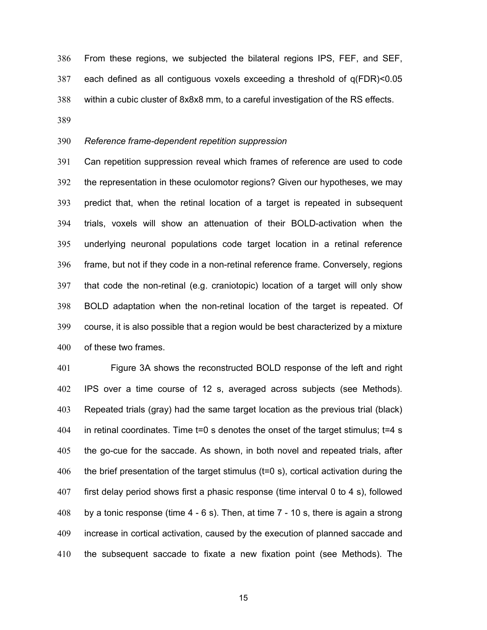From these regions, we subjected the bilateral regions IPS, FEF, and SEF, each defined as all contiguous voxels exceeding a threshold of q(FDR)<0.05 within a cubic cluster of 8x8x8 mm, to a careful investigation of the RS effects. 

# *Reference frame-dependent repetition suppression*

Can repetition suppression reveal which frames of reference are used to code the representation in these oculomotor regions? Given our hypotheses, we may predict that, when the retinal location of a target is repeated in subsequent trials, voxels will show an attenuation of their BOLD-activation when the underlying neuronal populations code target location in a retinal reference frame, but not if they code in a non-retinal reference frame. Conversely, regions that code the non-retinal (e.g. craniotopic) location of a target will only show BOLD adaptation when the non-retinal location of the target is repeated. Of course, it is also possible that a region would be best characterized by a mixture of these two frames.

Figure 3A shows the reconstructed BOLD response of the left and right IPS over a time course of 12 s, averaged across subjects (see Methods). Repeated trials (gray) had the same target location as the previous trial (black) in retinal coordinates. Time t=0 s denotes the onset of the target stimulus; t=4 s the go-cue for the saccade. As shown, in both novel and repeated trials, after the brief presentation of the target stimulus (t=0 s), cortical activation during the first delay period shows first a phasic response (time interval 0 to 4 s), followed by a tonic response (time 4 - 6 s). Then, at time 7 - 10 s, there is again a strong increase in cortical activation, caused by the execution of planned saccade and the subsequent saccade to fixate a new fixation point (see Methods). The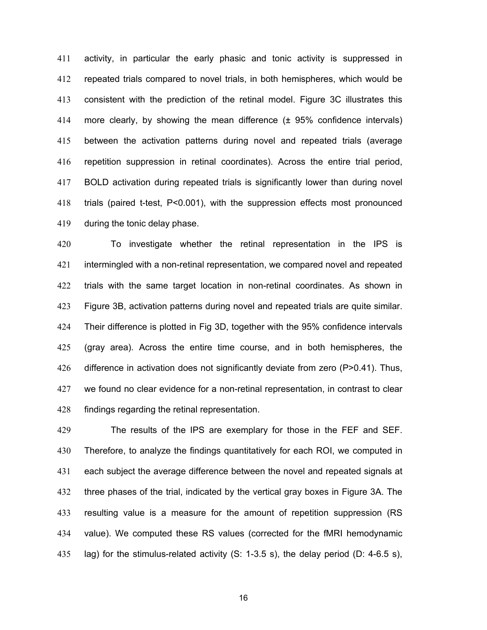activity, in particular the early phasic and tonic activity is suppressed in repeated trials compared to novel trials, in both hemispheres, which would be consistent with the prediction of the retinal model. Figure 3C illustrates this more clearly, by showing the mean difference (± 95% confidence intervals) between the activation patterns during novel and repeated trials (average repetition suppression in retinal coordinates). Across the entire trial period, BOLD activation during repeated trials is significantly lower than during novel trials (paired t-test, P<0.001), with the suppression effects most pronounced during the tonic delay phase.

To investigate whether the retinal representation in the IPS is intermingled with a non-retinal representation, we compared novel and repeated trials with the same target location in non-retinal coordinates. As shown in Figure 3B, activation patterns during novel and repeated trials are quite similar. Their difference is plotted in Fig 3D, together with the 95% confidence intervals (gray area). Across the entire time course, and in both hemispheres, the difference in activation does not significantly deviate from zero (P>0.41). Thus, we found no clear evidence for a non-retinal representation, in contrast to clear findings regarding the retinal representation.

The results of the IPS are exemplary for those in the FEF and SEF. Therefore, to analyze the findings quantitatively for each ROI, we computed in each subject the average difference between the novel and repeated signals at three phases of the trial, indicated by the vertical gray boxes in Figure 3A. The resulting value is a measure for the amount of repetition suppression (RS value). We computed these RS values (corrected for the fMRI hemodynamic lag) for the stimulus-related activity (S: 1-3.5 s), the delay period (D: 4-6.5 s),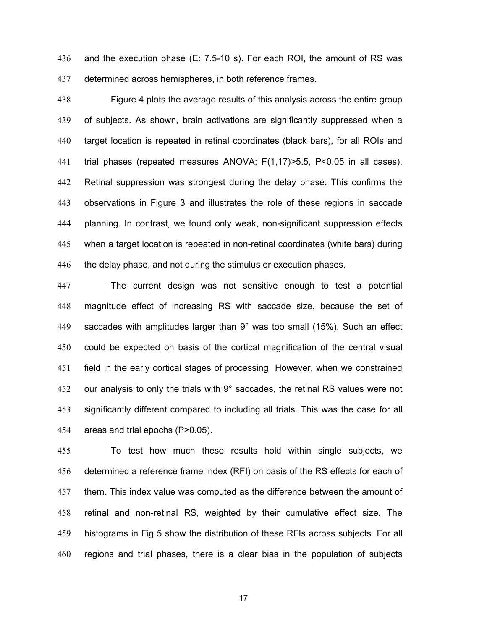and the execution phase (E: 7.5-10 s). For each ROI, the amount of RS was determined across hemispheres, in both reference frames.

Figure 4 plots the average results of this analysis across the entire group of subjects. As shown, brain activations are significantly suppressed when a target location is repeated in retinal coordinates (black bars), for all ROIs and trial phases (repeated measures ANOVA; F(1,17)>5.5, P<0.05 in all cases). Retinal suppression was strongest during the delay phase. This confirms the observations in Figure 3 and illustrates the role of these regions in saccade planning. In contrast, we found only weak, non-significant suppression effects when a target location is repeated in non-retinal coordinates (white bars) during the delay phase, and not during the stimulus or execution phases.

The current design was not sensitive enough to test a potential magnitude effect of increasing RS with saccade size, because the set of saccades with amplitudes larger than 9° was too small (15%). Such an effect could be expected on basis of the cortical magnification of the central visual field in the early cortical stages of processing However, when we constrained our analysis to only the trials with 9° saccades, the retinal RS values were not significantly different compared to including all trials. This was the case for all areas and trial epochs (P>0.05).

To test how much these results hold within single subjects, we determined a reference frame index (RFI) on basis of the RS effects for each of them. This index value was computed as the difference between the amount of retinal and non-retinal RS, weighted by their cumulative effect size. The histograms in Fig 5 show the distribution of these RFIs across subjects. For all regions and trial phases, there is a clear bias in the population of subjects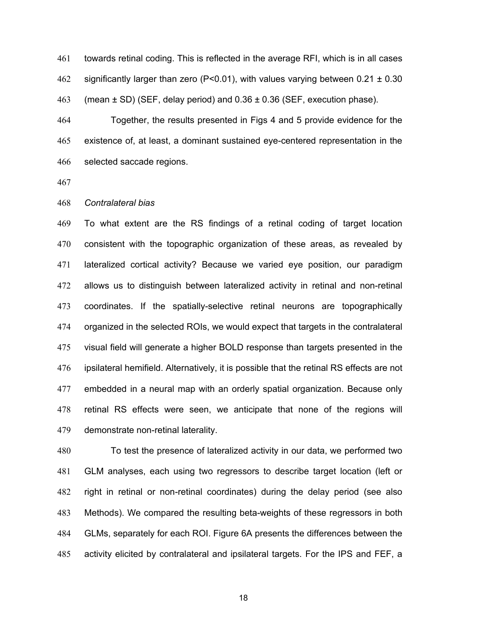towards retinal coding. This is reflected in the average RFI, which is in all cases 462 significantly larger than zero (P<0.01), with values varying between  $0.21 \pm 0.30$ 463 (mean  $\pm$  SD) (SEF, delay period) and 0.36  $\pm$  0.36 (SEF, execution phase).

Together, the results presented in Figs 4 and 5 provide evidence for the existence of, at least, a dominant sustained eye-centered representation in the selected saccade regions.

### *Contralateral bias*

To what extent are the RS findings of a retinal coding of target location consistent with the topographic organization of these areas, as revealed by lateralized cortical activity? Because we varied eye position, our paradigm allows us to distinguish between lateralized activity in retinal and non-retinal coordinates. If the spatially-selective retinal neurons are topographically organized in the selected ROIs, we would expect that targets in the contralateral visual field will generate a higher BOLD response than targets presented in the ipsilateral hemifield. Alternatively, it is possible that the retinal RS effects are not embedded in a neural map with an orderly spatial organization. Because only retinal RS effects were seen, we anticipate that none of the regions will demonstrate non-retinal laterality.

To test the presence of lateralized activity in our data, we performed two GLM analyses, each using two regressors to describe target location (left or right in retinal or non-retinal coordinates) during the delay period (see also Methods). We compared the resulting beta-weights of these regressors in both GLMs, separately for each ROI. Figure 6A presents the differences between the activity elicited by contralateral and ipsilateral targets. For the IPS and FEF, a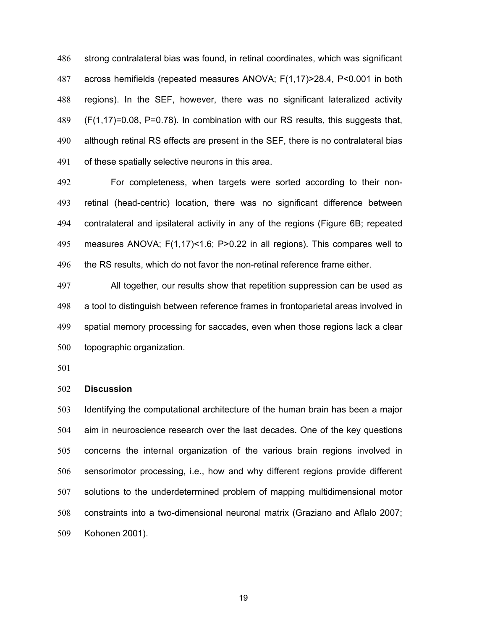strong contralateral bias was found, in retinal coordinates, which was significant across hemifields (repeated measures ANOVA; F(1,17)>28.4, P<0.001 in both regions). In the SEF, however, there was no significant lateralized activity (F(1,17)=0.08, P=0.78). In combination with our RS results, this suggests that, although retinal RS effects are present in the SEF, there is no contralateral bias of these spatially selective neurons in this area.

For completeness, when targets were sorted according to their non-retinal (head-centric) location, there was no significant difference between contralateral and ipsilateral activity in any of the regions (Figure 6B; repeated measures ANOVA; F(1,17)<1.6; P>0.22 in all regions). This compares well to the RS results, which do not favor the non-retinal reference frame either.

All together, our results show that repetition suppression can be used as a tool to distinguish between reference frames in frontoparietal areas involved in spatial memory processing for saccades, even when those regions lack a clear topographic organization.

#### **Discussion**

Identifying the computational architecture of the human brain has been a major aim in neuroscience research over the last decades. One of the key questions concerns the internal organization of the various brain regions involved in sensorimotor processing, i.e., how and why different regions provide different solutions to the underdetermined problem of mapping multidimensional motor constraints into a two-dimensional neuronal matrix (Graziano and Aflalo 2007; Kohonen 2001).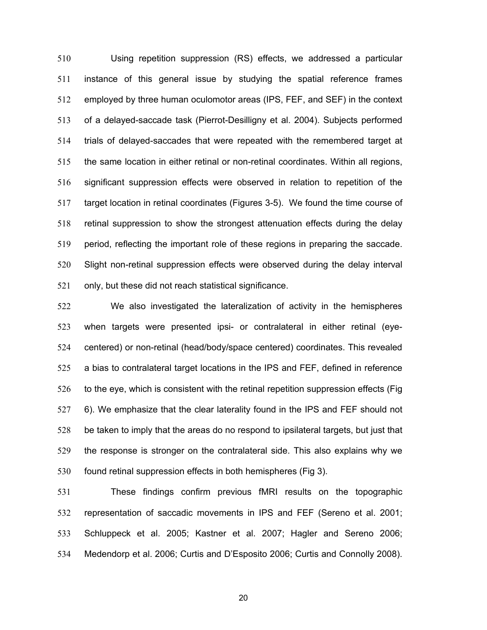Using repetition suppression (RS) effects, we addressed a particular instance of this general issue by studying the spatial reference frames employed by three human oculomotor areas (IPS, FEF, and SEF) in the context of a delayed-saccade task (Pierrot-Desilligny et al. 2004). Subjects performed trials of delayed-saccades that were repeated with the remembered target at the same location in either retinal or non-retinal coordinates. Within all regions, significant suppression effects were observed in relation to repetition of the target location in retinal coordinates (Figures 3-5). We found the time course of retinal suppression to show the strongest attenuation effects during the delay period, reflecting the important role of these regions in preparing the saccade. Slight non-retinal suppression effects were observed during the delay interval only, but these did not reach statistical significance.

We also investigated the lateralization of activity in the hemispheres when targets were presented ipsi- or contralateral in either retinal (eye-centered) or non-retinal (head/body/space centered) coordinates. This revealed a bias to contralateral target locations in the IPS and FEF, defined in reference to the eye, which is consistent with the retinal repetition suppression effects (Fig 6). We emphasize that the clear laterality found in the IPS and FEF should not be taken to imply that the areas do no respond to ipsilateral targets, but just that the response is stronger on the contralateral side. This also explains why we found retinal suppression effects in both hemispheres (Fig 3).

These findings confirm previous fMRI results on the topographic representation of saccadic movements in IPS and FEF (Sereno et al. 2001; Schluppeck et al. 2005; Kastner et al. 2007; Hagler and Sereno 2006; Medendorp et al. 2006; Curtis and D'Esposito 2006; Curtis and Connolly 2008).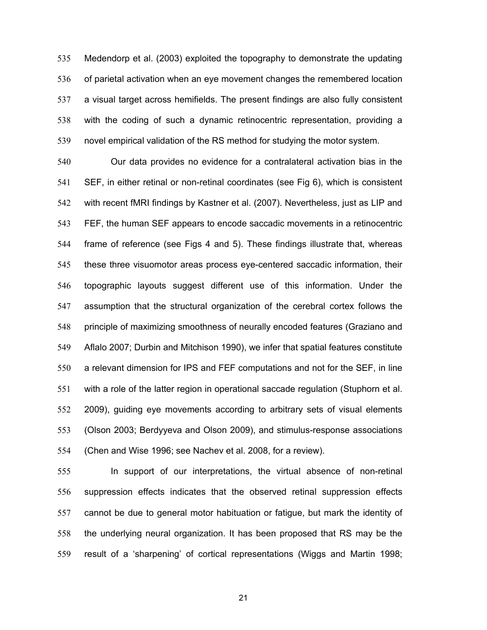Medendorp et al. (2003) exploited the topography to demonstrate the updating of parietal activation when an eye movement changes the remembered location a visual target across hemifields. The present findings are also fully consistent with the coding of such a dynamic retinocentric representation, providing a novel empirical validation of the RS method for studying the motor system.

Our data provides no evidence for a contralateral activation bias in the SEF, in either retinal or non-retinal coordinates (see Fig 6), which is consistent with recent fMRI findings by Kastner et al. (2007). Nevertheless, just as LIP and FEF, the human SEF appears to encode saccadic movements in a retinocentric frame of reference (see Figs 4 and 5). These findings illustrate that, whereas these three visuomotor areas process eye-centered saccadic information, their topographic layouts suggest different use of this information. Under the assumption that the structural organization of the cerebral cortex follows the principle of maximizing smoothness of neurally encoded features (Graziano and Aflalo 2007; Durbin and Mitchison 1990), we infer that spatial features constitute a relevant dimension for IPS and FEF computations and not for the SEF, in line with a role of the latter region in operational saccade regulation (Stuphorn et al. 2009), guiding eye movements according to arbitrary sets of visual elements (Olson 2003; Berdyyeva and Olson 2009), and stimulus-response associations (Chen and Wise 1996; see Nachev et al. 2008, for a review).

In support of our interpretations, the virtual absence of non-retinal suppression effects indicates that the observed retinal suppression effects cannot be due to general motor habituation or fatigue, but mark the identity of the underlying neural organization. It has been proposed that RS may be the result of a 'sharpening' of cortical representations (Wiggs and Martin 1998;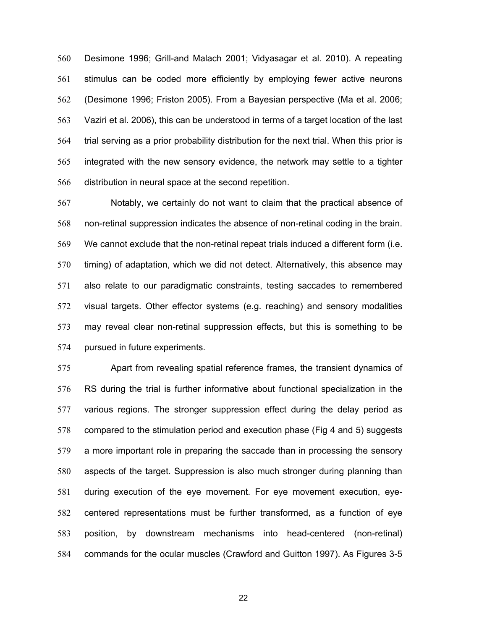Desimone 1996; Grill-and Malach 2001; Vidyasagar et al. 2010). A repeating stimulus can be coded more efficiently by employing fewer active neurons (Desimone 1996; Friston 2005). From a Bayesian perspective (Ma et al. 2006; Vaziri et al. 2006), this can be understood in terms of a target location of the last trial serving as a prior probability distribution for the next trial. When this prior is integrated with the new sensory evidence, the network may settle to a tighter distribution in neural space at the second repetition.

Notably, we certainly do not want to claim that the practical absence of non-retinal suppression indicates the absence of non-retinal coding in the brain. We cannot exclude that the non-retinal repeat trials induced a different form (i.e. timing) of adaptation, which we did not detect. Alternatively, this absence may also relate to our paradigmatic constraints, testing saccades to remembered visual targets. Other effector systems (e.g. reaching) and sensory modalities may reveal clear non-retinal suppression effects, but this is something to be pursued in future experiments.

Apart from revealing spatial reference frames, the transient dynamics of RS during the trial is further informative about functional specialization in the various regions. The stronger suppression effect during the delay period as compared to the stimulation period and execution phase (Fig 4 and 5) suggests a more important role in preparing the saccade than in processing the sensory aspects of the target. Suppression is also much stronger during planning than during execution of the eye movement. For eye movement execution, eye-centered representations must be further transformed, as a function of eye position, by downstream mechanisms into head-centered (non-retinal) commands for the ocular muscles (Crawford and Guitton 1997). As Figures 3-5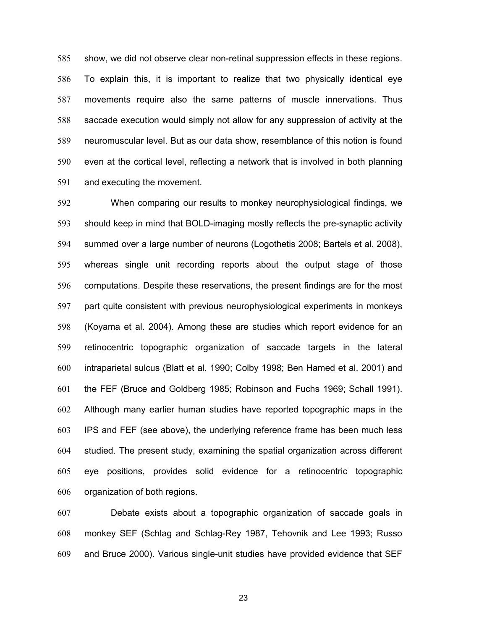show, we did not observe clear non-retinal suppression effects in these regions. To explain this, it is important to realize that two physically identical eye movements require also the same patterns of muscle innervations. Thus saccade execution would simply not allow for any suppression of activity at the neuromuscular level. But as our data show, resemblance of this notion is found even at the cortical level, reflecting a network that is involved in both planning and executing the movement.

When comparing our results to monkey neurophysiological findings, we should keep in mind that BOLD-imaging mostly reflects the pre-synaptic activity summed over a large number of neurons (Logothetis 2008; Bartels et al. 2008), whereas single unit recording reports about the output stage of those computations. Despite these reservations, the present findings are for the most part quite consistent with previous neurophysiological experiments in monkeys (Koyama et al. 2004). Among these are studies which report evidence for an retinocentric topographic organization of saccade targets in the lateral intraparietal sulcus (Blatt et al. 1990; Colby 1998; Ben Hamed et al. 2001) and the FEF (Bruce and Goldberg 1985; Robinson and Fuchs 1969; Schall 1991). Although many earlier human studies have reported topographic maps in the IPS and FEF (see above), the underlying reference frame has been much less studied. The present study, examining the spatial organization across different eye positions, provides solid evidence for a retinocentric topographic organization of both regions.

Debate exists about a topographic organization of saccade goals in monkey SEF (Schlag and Schlag-Rey 1987, Tehovnik and Lee 1993; Russo and Bruce 2000). Various single-unit studies have provided evidence that SEF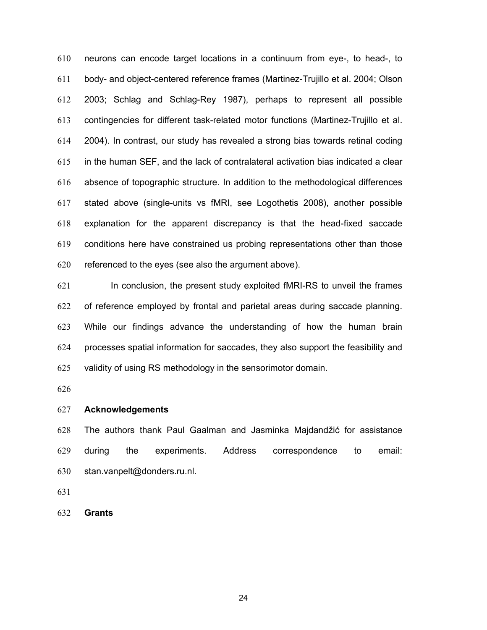neurons can encode target locations in a continuum from eye-, to head-, to body- and object-centered reference frames (Martinez-Trujillo et al. 2004; Olson 2003; Schlag and Schlag-Rey 1987), perhaps to represent all possible contingencies for different task-related motor functions (Martinez-Trujillo et al. 2004). In contrast, our study has revealed a strong bias towards retinal coding in the human SEF, and the lack of contralateral activation bias indicated a clear absence of topographic structure. In addition to the methodological differences stated above (single-units vs fMRI, see Logothetis 2008), another possible explanation for the apparent discrepancy is that the head-fixed saccade conditions here have constrained us probing representations other than those referenced to the eyes (see also the argument above).

In conclusion, the present study exploited fMRI-RS to unveil the frames of reference employed by frontal and parietal areas during saccade planning. While our findings advance the understanding of how the human brain processes spatial information for saccades, they also support the feasibility and validity of using RS methodology in the sensorimotor domain.

# **Acknowledgements**

The authors thank Paul Gaalman and Jasminka Majdandžić for assistance during the experiments. Address correspondence to email: stan.vanpelt@donders.ru.nl.

**Grants**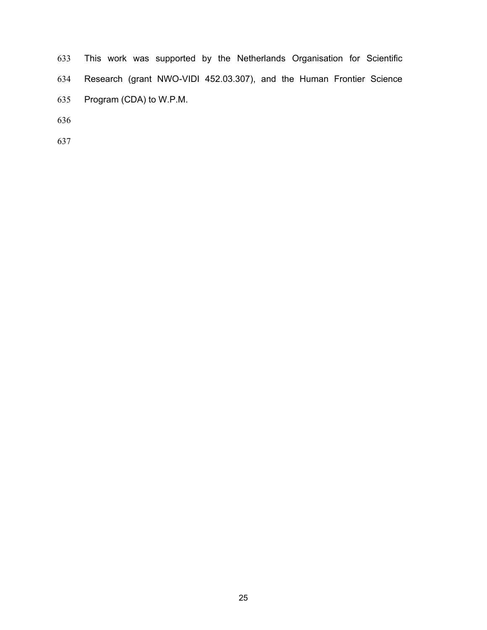This work was supported by the Netherlands Organisation for Scientific Research (grant NWO-VIDI 452.03.307), and the Human Frontier Science Program (CDA) to W.P.M.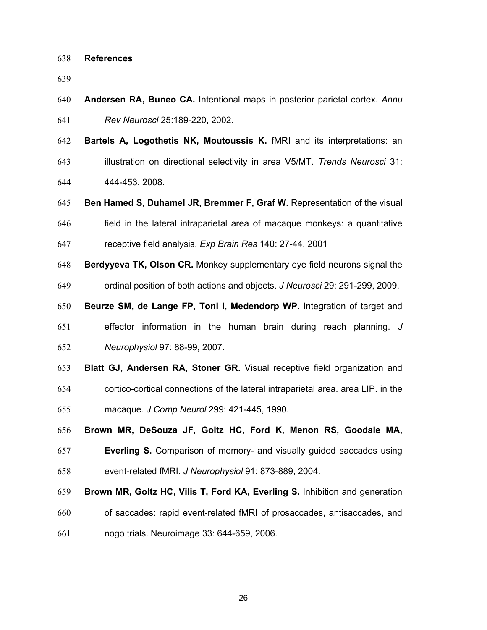#### **References**

**Andersen RA, Buneo CA.** Intentional maps in posterior parietal cortex. *Annu Rev Neurosci* 25:189-220, 2002.

**Bartels A, Logothetis NK, Moutoussis K.** fMRI and its interpretations: an illustration on directional selectivity in area V5/MT. *Trends Neurosci* 31:

444-453, 2008.

- **Ben Hamed S, Duhamel JR, Bremmer F, Graf W.** Representation of the visual
- field in the lateral intraparietal area of macaque monkeys: a quantitative receptive field analysis. *Exp Brain Res* 140: 27-44, 2001
- **Berdyyeva TK, Olson CR.** Monkey supplementary eye field neurons signal the
- ordinal position of both actions and objects. *J Neurosci* 29: 291-299, 2009.
- **Beurze SM, de Lange FP, Toni I, Medendorp WP.** Integration of target and
- effector information in the human brain during reach planning. *J Neurophysiol* 97: 88-99, 2007.
- **Blatt GJ, Andersen RA, Stoner GR.** Visual receptive field organization and cortico-cortical connections of the lateral intraparietal area. area LIP. in the macaque. *J Comp Neurol* 299: 421-445, 1990.
- **Brown MR, DeSouza JF, Goltz HC, Ford K, Menon RS, Goodale MA,**
- **Everling S.** Comparison of memory- and visually guided saccades using event-related fMRI. *J Neurophysiol* 91: 873-889, 2004.
- **Brown MR, Goltz HC, Vilis T, Ford KA, Everling S.** Inhibition and generation
- of saccades: rapid event-related fMRI of prosaccades, antisaccades, and nogo trials. Neuroimage 33: 644-659, 2006.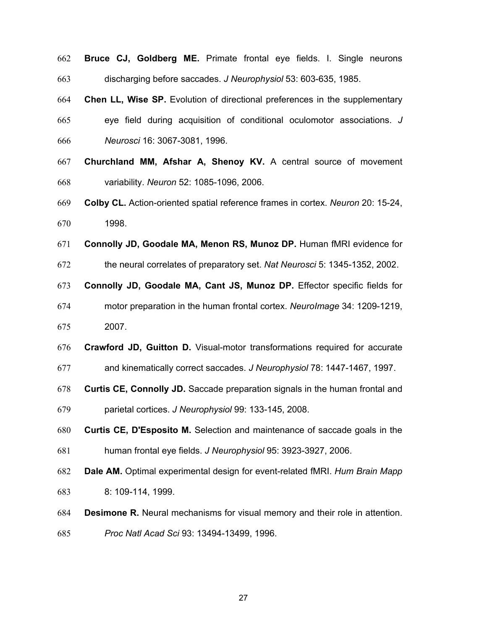**Bruce CJ, Goldberg ME.** Primate frontal eye fields. I. Single neurons discharging before saccades. *J Neurophysiol* 53: 603-635, 1985.

**Chen LL, Wise SP.** Evolution of directional preferences in the supplementary eye field during acquisition of conditional oculomotor associations. *J Neurosci* 16: 3067-3081, 1996.

- **Churchland MM, Afshar A, Shenoy KV.** A central source of movement variability. *Neuron* 52: 1085-1096, 2006.
- **Colby CL.** Action-oriented spatial reference frames in cortex. *Neuron* 20: 15-24, 1998.

**Connolly JD, Goodale MA, Menon RS, Munoz DP.** Human fMRI evidence for

the neural correlates of preparatory set. *Nat Neurosci* 5: 1345-1352, 2002.

**Connolly JD, Goodale MA, Cant JS, Munoz DP.** Effector specific fields for

- motor preparation in the human frontal cortex. *NeuroImage* 34: 1209-1219, 2007.
- **Crawford JD, Guitton D.** Visual-motor transformations required for accurate
- and kinematically correct saccades. *J Neurophysiol* 78: 1447-1467, 1997.
- **Curtis CE, Connolly JD.** Saccade preparation signals in the human frontal and parietal cortices. *J Neurophysiol* 99: 133-145, 2008.

**Curtis CE, D'Esposito M.** Selection and maintenance of saccade goals in the

- human frontal eye fields. *J Neurophysiol* 95: 3923-3927, 2006.
- **Dale AM.** Optimal experimental design for event-related fMRI. *Hum Brain Mapp* 8: 109-114, 1999.
- **Desimone R.** Neural mechanisms for visual memory and their role in attention.
- *Proc Natl Acad Sci* 93: 13494-13499, 1996.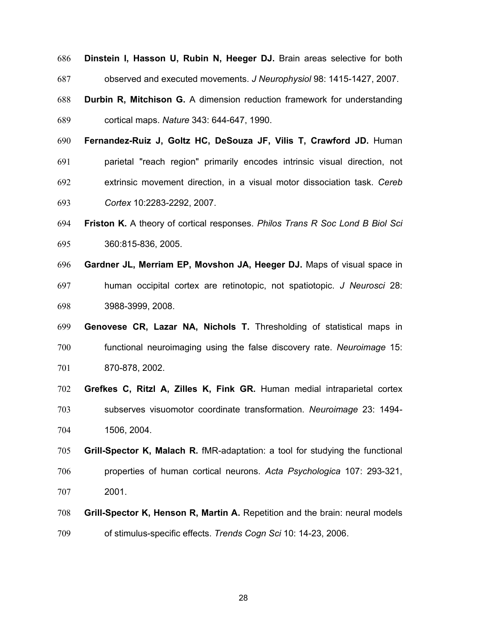**Dinstein I, Hasson U, Rubin N, Heeger DJ.** Brain areas selective for both observed and executed movements. *J Neurophysiol* 98: 1415-1427, 2007. **Durbin R, Mitchison G.** A dimension reduction framework for understanding cortical maps. *Nature* 343: 644-647, 1990. **Fernandez-Ruiz J, Goltz HC, DeSouza JF, Vilis T, Crawford JD.** Human parietal "reach region" primarily encodes intrinsic visual direction, not extrinsic movement direction, in a visual motor dissociation task. *Cereb Cortex* 10:2283-2292, 2007.

- **Friston K.** A theory of cortical responses. *Philos Trans R Soc Lond B Biol Sci* 360:815-836, 2005.
- **Gardner JL, Merriam EP, Movshon JA, Heeger DJ.** Maps of visual space in human occipital cortex are retinotopic, not spatiotopic. *J Neurosci* 28: 3988-3999, 2008.
- **Genovese CR, Lazar NA, Nichols T.** Thresholding of statistical maps in functional neuroimaging using the false discovery rate. *Neuroimage* 15: 870-878, 2002.
- **Grefkes C, Ritzl A, Zilles K, Fink GR.** Human medial intraparietal cortex subserves visuomotor coordinate transformation. *Neuroimage* 23: 1494- 1506, 2004.
- **Grill-Spector K, Malach R.** fMR-adaptation: a tool for studying the functional properties of human cortical neurons. *Acta Psychologica* 107: 293-321, 2001.
- **Grill-Spector K, Henson R, Martin A.** Repetition and the brain: neural models of stimulus-specific effects. *Trends Cogn Sci* 10: 14-23, 2006.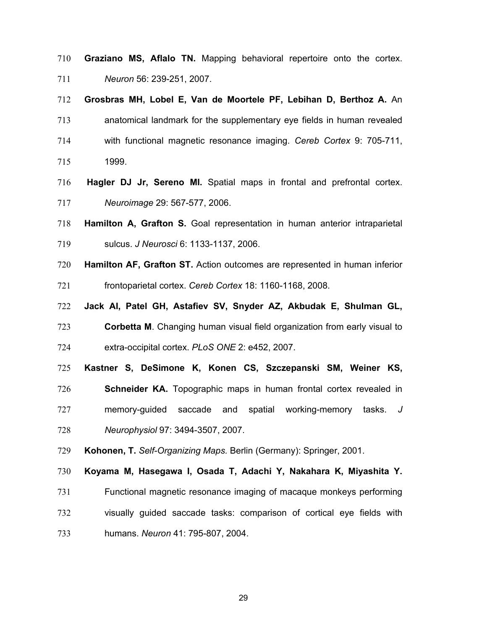- **Graziano MS, Aflalo TN.** Mapping behavioral repertoire onto the cortex. *Neuron* 56: 239-251, 2007.
- **Grosbras MH, Lobel E, Van de Moortele PF, Lebihan D, Berthoz A.** An
- anatomical landmark for the supplementary eye fields in human revealed with functional magnetic resonance imaging. *Cereb Cortex* 9: 705-711,
- 1999.
- **Hagler DJ Jr, Sereno MI.** Spatial maps in frontal and prefrontal cortex. *Neuroimage* 29: 567-577, 2006.
- **Hamilton A, Grafton S.** Goal representation in human anterior intraparietal sulcus. *J Neurosci* 6: 1133-1137, 2006.
- **Hamilton AF, Grafton ST.** Action outcomes are represented in human inferior frontoparietal cortex. *Cereb Cortex* 18: 1160-1168, 2008.
- **Jack AI, Patel GH, Astafiev SV, Snyder AZ, Akbudak E, Shulman GL,**
- **Corbetta M**. Changing human visual field organization from early visual to extra-occipital cortex. *PLoS ONE* 2: e452, 2007.
- **Kastner S, DeSimone K, Konen CS, Szczepanski SM, Weiner KS,**
- **Schneider KA.** Topographic maps in human frontal cortex revealed in memory-guided saccade and spatial working-memory tasks. *J Neurophysiol* 97: 3494-3507, 2007.
- **Kohonen, T.** *Self-Organizing Maps.* Berlin (Germany): Springer, 2001.
- **Koyama M, Hasegawa I, Osada T, Adachi Y, Nakahara K, Miyashita Y.**
- Functional magnetic resonance imaging of macaque monkeys performing visually guided saccade tasks: comparison of cortical eye fields with
- humans. *Neuron* 41: 795-807, 2004.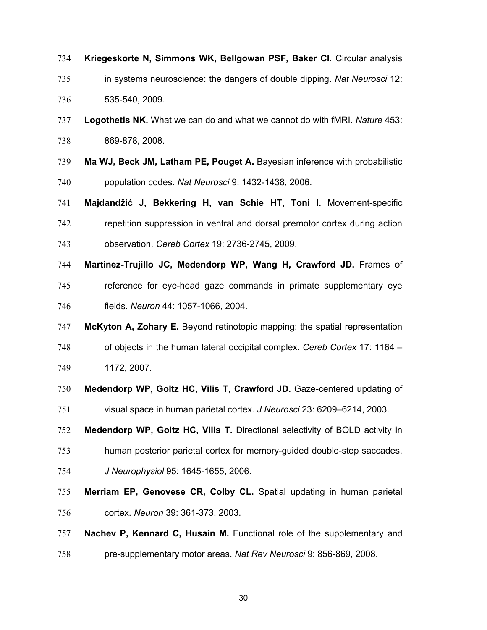- **Kriegeskorte N, Simmons WK, Bellgowan PSF, Baker CI**. Circular analysis
- in systems neuroscience: the dangers of double dipping. *Nat Neurosci* 12: 535-540, 2009.
- **Logothetis NK.** What we can do and what we cannot do with fMRI. *Nature* 453: 869-878, 2008.
- **Ma WJ, Beck JM, Latham PE, Pouget A.** Bayesian inference with probabilistic population codes. *Nat Neurosci* 9: 1432-1438, 2006.
- **Majdandžić J, Bekkering H, van Schie HT, Toni I.** Movement-specific repetition suppression in ventral and dorsal premotor cortex during action observation. *Cereb Cortex* 19: 2736-2745, 2009.
- **Martinez-Trujillo JC, Medendorp WP, Wang H, Crawford JD.** Frames of
- reference for eye-head gaze commands in primate supplementary eye fields. *Neuron* 44: 1057-1066, 2004.
- **McKyton A, Zohary E.** Beyond retinotopic mapping: the spatial representation
- of objects in the human lateral occipital complex. *Cereb Cortex* 17: 1164 –
- 1172, 2007.
- **Medendorp WP, Goltz HC, Vilis T, Crawford JD.** Gaze-centered updating of
- visual space in human parietal cortex. *J Neurosci* 23: 6209–6214, 2003.
- **Medendorp WP, Goltz HC, Vilis T.** Directional selectivity of BOLD activity in
- human posterior parietal cortex for memory-guided double-step saccades.
- *J Neurophysiol* 95: 1645-1655, 2006.
- **Merriam EP, Genovese CR, Colby CL.** Spatial updating in human parietal cortex. *Neuron* 39: 361-373, 2003.
- **Nachev P, Kennard C, Husain M.** Functional role of the supplementary and pre-supplementary motor areas. *Nat Rev Neurosci* 9: 856-869, 2008.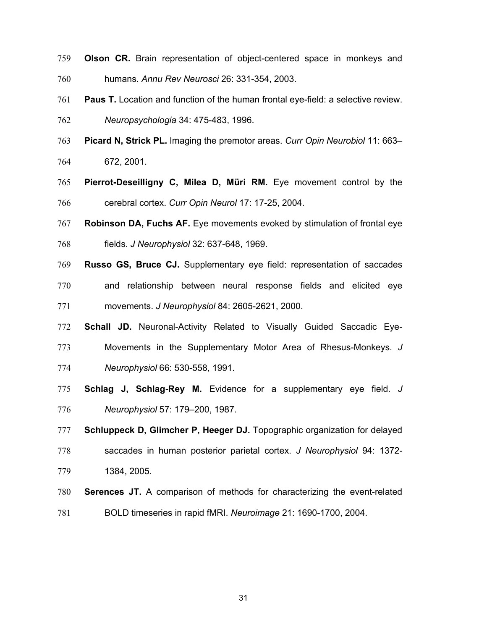- **Olson CR.** Brain representation of object-centered space in monkeys and humans. *Annu Rev Neurosci* 26: 331-354, 2003.
- **Paus T.** Location and function of the human frontal eye-field: a selective review. *Neuropsychologia* 34: 475-483, 1996.
- **Picard N, Strick PL.** Imaging the premotor areas. *Curr Opin Neurobiol* 11: 663–
- 672, 2001.
- **Pierrot-Deseilligny C, Milea D, Müri RM.** Eye movement control by the cerebral cortex. *Curr Opin Neurol* 17: 17-25, 2004.
- **Robinson DA, Fuchs AF.** Eye movements evoked by stimulation of frontal eye fields. *J Neurophysiol* 32: 637-648, 1969.
- **Russo GS, Bruce CJ.** Supplementary eye field: representation of saccades
- and relationship between neural response fields and elicited eye movements. *J Neurophysiol* 84: 2605-2621, 2000.
- **Schall JD.** Neuronal-Activity Related to Visually Guided Saccadic Eye-
- Movements in the Supplementary Motor Area of Rhesus-Monkeys. *J*
- *Neurophysiol* 66: 530-558, 1991.
- **Schlag J, Schlag-Rey M.** Evidence for a supplementary eye field. *J*
- *Neurophysiol* 57: 179–200, 1987.
- **Schluppeck D, Glimcher P, Heeger DJ.** Topographic organization for delayed
- saccades in human posterior parietal cortex. *J Neurophysiol* 94: 1372-
- 1384, 2005.
- **Serences JT.** A comparison of methods for characterizing the event-related
- BOLD timeseries in rapid fMRI. *Neuroimage* 21: 1690-1700, 2004.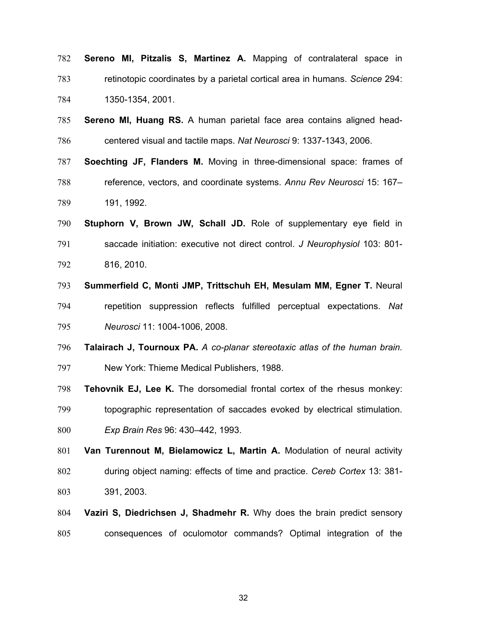- **Sereno MI, Pitzalis S, Martinez A.** Mapping of contralateral space in retinotopic coordinates by a parietal cortical area in humans. *Science* 294: 1350-1354, 2001.
- **Sereno MI, Huang RS.** A human parietal face area contains aligned head-centered visual and tactile maps. *Nat Neurosci* 9: 1337-1343, 2006.
- **Soechting JF, Flanders M.** Moving in three-dimensional space: frames of reference, vectors, and coordinate systems. *Annu Rev Neurosci* 15: 167– 191, 1992.
- **Stuphorn V, Brown JW, Schall JD.** Role of supplementary eye field in saccade initiation: executive not direct control. *J Neurophysiol* 103: 801- 816, 2010.
- **Summerfield C, Monti JMP, Trittschuh EH, Mesulam MM, Egner T.** Neural repetition suppression reflects fulfilled perceptual expectations. *Nat Neurosci* 11: 1004-1006, 2008.
- **Talairach J, Tournoux PA.** *A co-planar stereotaxic atlas of the human brain.*
- New York: Thieme Medical Publishers, 1988.
- **Tehovnik EJ, Lee K.** The dorsomedial frontal cortex of the rhesus monkey:
- topographic representation of saccades evoked by electrical stimulation. *Exp Brain Res* 96: 430–442, 1993.
- **Van Turennout M, Bielamowicz L, Martin A.** Modulation of neural activity during object naming: effects of time and practice. *Cereb Cortex* 13: 381- 391, 2003.
- **Vaziri S, Diedrichsen J, Shadmehr R.** Why does the brain predict sensory consequences of oculomotor commands? Optimal integration of the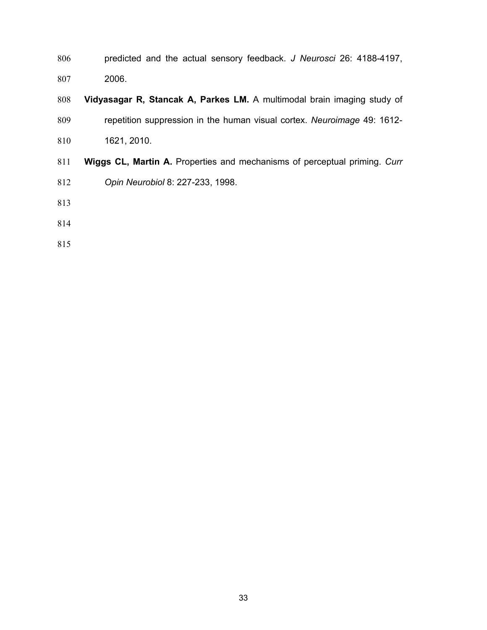- predicted and the actual sensory feedback. *J Neurosci* 26: 4188-4197, 2006.
- **Vidyasagar R, Stancak A, Parkes LM.** A multimodal brain imaging study of repetition suppression in the human visual cortex. *Neuroimage* 49: 1612-
- 1621, 2010.
- **Wiggs CL, Martin A.** Properties and mechanisms of perceptual priming. *Curr*
- *Opin Neurobiol* 8: 227-233, 1998.
- 
- 
-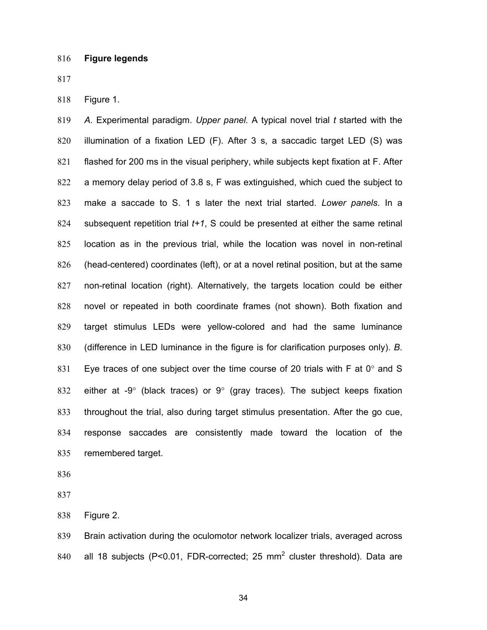Figure 1.

*A*. Experimental paradigm. *Upper panel.* A typical novel trial *t* started with the illumination of a fixation LED (F). After 3 s, a saccadic target LED (S) was flashed for 200 ms in the visual periphery, while subjects kept fixation at F. After a memory delay period of 3.8 s, F was extinguished, which cued the subject to make a saccade to S. 1 s later the next trial started. *Lower panels*. In a subsequent repetition trial *t+1*, S could be presented at either the same retinal location as in the previous trial, while the location was novel in non-retinal (head-centered) coordinates (left), or at a novel retinal position, but at the same non-retinal location (right). Alternatively, the targets location could be either novel or repeated in both coordinate frames (not shown). Both fixation and target stimulus LEDs were yellow-colored and had the same luminance (difference in LED luminance in the figure is for clarification purposes only). *B*. 831 Eye traces of one subject over the time course of 20 trials with F at 0° and S 832 either at -9 $^{\circ}$  (black traces) or 9 $^{\circ}$  (gray traces). The subject keeps fixation throughout the trial, also during target stimulus presentation. After the go cue, response saccades are consistently made toward the location of the remembered target.

Figure 2.

Brain activation during the oculomotor network localizer trials, averaged across 840 all 18 subjects (P<0.01, FDR-corrected; 25  $mm<sup>2</sup>$  cluster threshold). Data are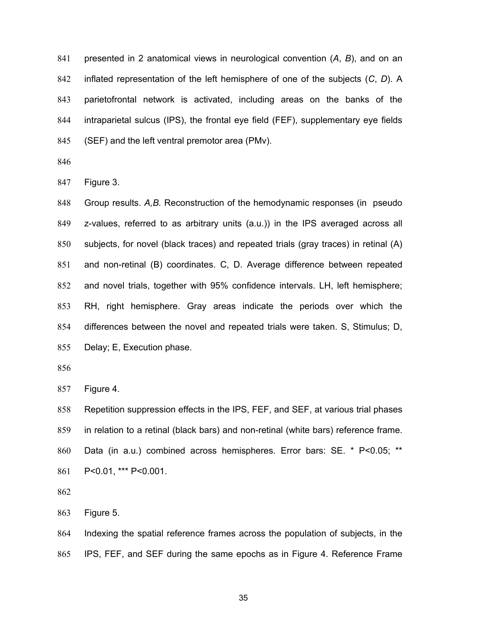presented in 2 anatomical views in neurological convention (*A*, *B*), and on an inflated representation of the left hemisphere of one of the subjects (*C*, *D*). A parietofrontal network is activated, including areas on the banks of the intraparietal sulcus (IPS), the frontal eye field (FEF), supplementary eye fields (SEF) and the left ventral premotor area (PMv).

Figure 3.

Group results. *A,B.* Reconstruction of the hemodynamic responses (in pseudo z-values, referred to as arbitrary units (a.u.)) in the IPS averaged across all subjects, for novel (black traces) and repeated trials (gray traces) in retinal (A) and non-retinal (B) coordinates. C, D. Average difference between repeated and novel trials, together with 95% confidence intervals. LH, left hemisphere; RH, right hemisphere. Gray areas indicate the periods over which the differences between the novel and repeated trials were taken. S, Stimulus; D, Delay; E, Execution phase.

Figure 4.

Repetition suppression effects in the IPS, FEF, and SEF, at various trial phases in relation to a retinal (black bars) and non-retinal (white bars) reference frame. Data (in a.u.) combined across hemispheres. Error bars: SE. \* P<0.05; \*\* P<0.01, \*\*\* P<0.001.

Figure 5.

Indexing the spatial reference frames across the population of subjects, in the IPS, FEF, and SEF during the same epochs as in Figure 4. Reference Frame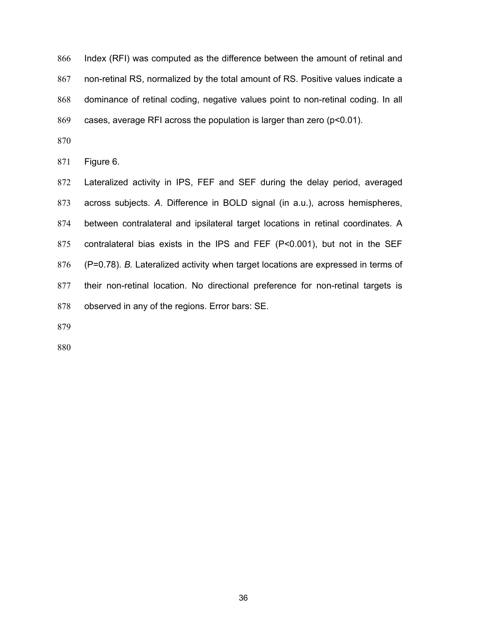Index (RFI) was computed as the difference between the amount of retinal and non-retinal RS, normalized by the total amount of RS. Positive values indicate a dominance of retinal coding, negative values point to non-retinal coding. In all cases, average RFI across the population is larger than zero (p<0.01).

Figure 6.

Lateralized activity in IPS, FEF and SEF during the delay period, averaged across subjects. *A*. Difference in BOLD signal (in a.u.), across hemispheres, between contralateral and ipsilateral target locations in retinal coordinates. A contralateral bias exists in the IPS and FEF (P<0.001), but not in the SEF (P=0.78). *B.* Lateralized activity when target locations are expressed in terms of their non-retinal location. No directional preference for non-retinal targets is observed in any of the regions. Error bars: SE.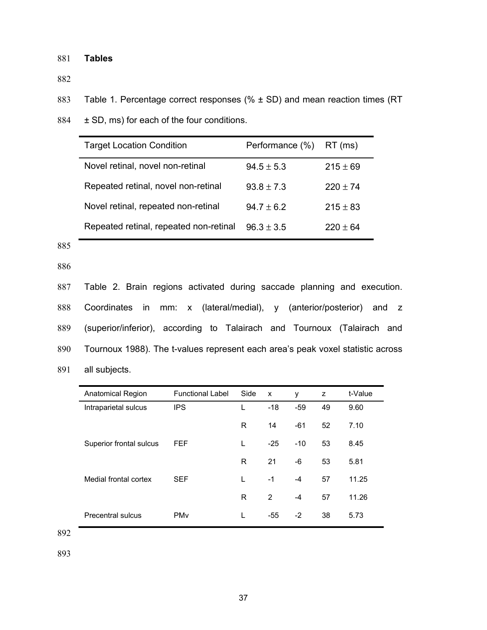# 881 **Tables**

882

883 Table 1. Percentage correct responses (% ± SD) and mean reaction times (RT

884  $\pm$  SD, ms) for each of the four conditions.

| <b>Target Location Condition</b>       | Performance (%) | RT (ms)      |
|----------------------------------------|-----------------|--------------|
| Novel retinal, novel non-retinal       | $94.5 \pm 5.3$  | $215 \pm 69$ |
| Repeated retinal, novel non-retinal    | $93.8 \pm 7.3$  | $220 \pm 74$ |
| Novel retinal, repeated non-retinal    | $94.7 \pm 6.2$  | $215 \pm 83$ |
| Repeated retinal, repeated non-retinal | $96.3 \pm 3.5$  | $220 + 64$   |

885

886

Table 2. Brain regions activated during saccade planning and execution. Coordinates in mm: x (lateral/medial), y (anterior/posterior) and z (superior/inferior), according to Talairach and Tournoux (Talairach and Tournoux 1988). The t-values represent each area's peak voxel statistic across all subjects.

| <b>Anatomical Region</b> | <b>Functional Label</b> | Side | X     | y     | z  | t-Value |
|--------------------------|-------------------------|------|-------|-------|----|---------|
| Intraparietal sulcus     | <b>IPS</b>              |      | $-18$ | $-59$ | 49 | 9.60    |
|                          |                         | R    | 14    | $-61$ | 52 | 7.10    |
| Superior frontal sulcus  | FEF                     | L    | $-25$ | $-10$ | 53 | 8.45    |
|                          |                         | R    | 21    | -6    | 53 | 5.81    |
| Medial frontal cortex    | <b>SEF</b>              | L    | $-1$  | $-4$  | 57 | 11.25   |
|                          |                         | R    | 2     | $-4$  | 57 | 11.26   |
| Precentral sulcus        | <b>PM<sub>v</sub></b>   | L    | $-55$ | $-2$  | 38 | 5.73    |

892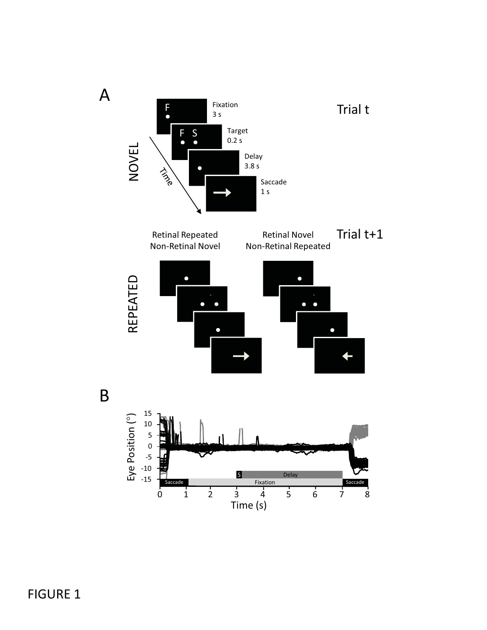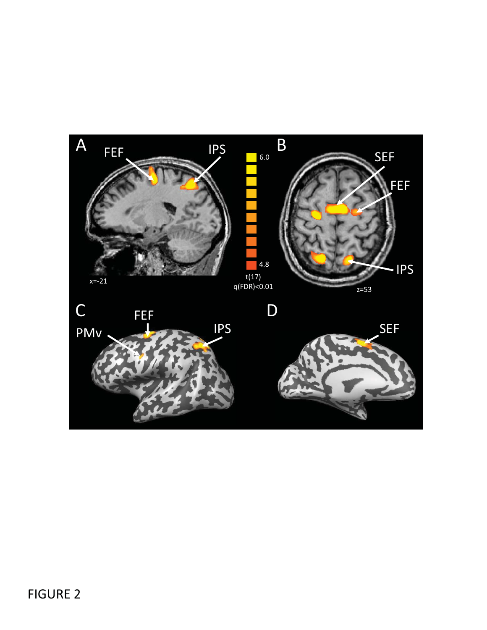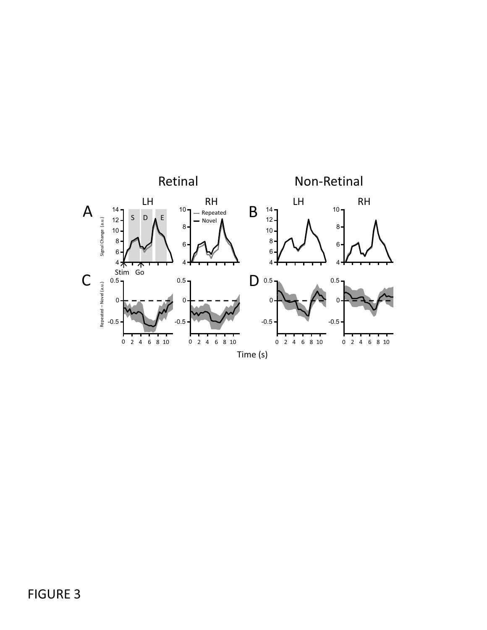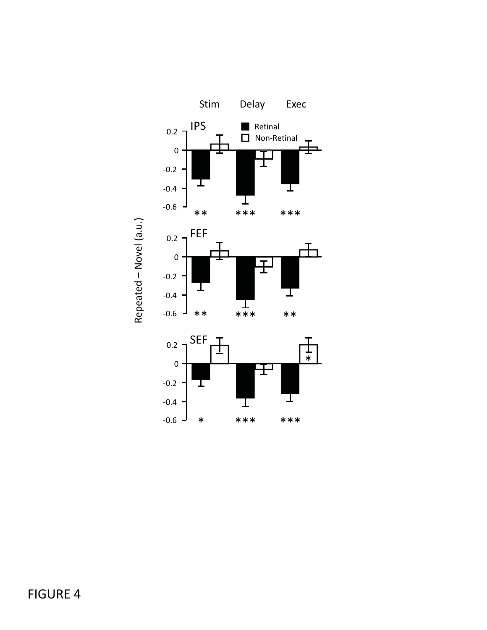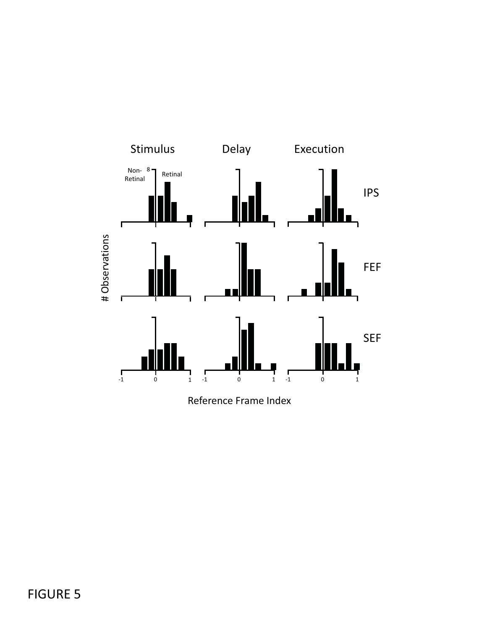

Reference Frame Index